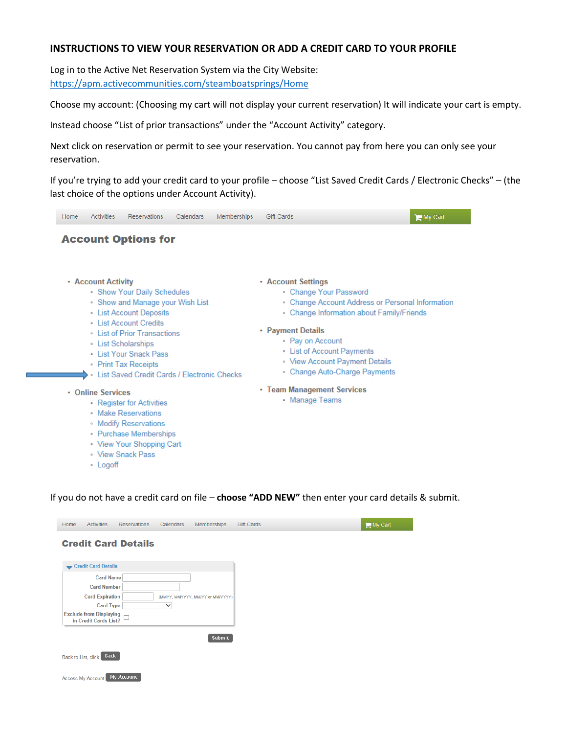## **INSTRUCTIONS TO VIEW YOUR RESERVATION OR ADD A CREDIT CARD TO YOUR PROFILE**

Log in to the Active Net Reservation System via the City Website: <https://apm.activecommunities.com/steamboatsprings/Home>

Choose my account: (Choosing my cart will not display your current reservation) It will indicate your cart is empty.

Instead choose "List of prior transactions" under the "Account Activity" category.

Next click on reservation or permit to see your reservation. You cannot pay from here you can only see your reservation.

If you're trying to add your credit card to your profile – choose "List Saved Credit Cards / Electronic Checks" – (the last choice of the options under Account Activity).



If you do not have a credit card on file – **choose "ADD NEW"** then enter your card details & submit.

| <b>Credit Card Details</b>                                                                     |  |
|------------------------------------------------------------------------------------------------|--|
|                                                                                                |  |
| Credit Card Details                                                                            |  |
| <b>Card Name</b><br><b>Card Number</b>                                                         |  |
| <b>Card Expiration</b><br>(MMYY, MMYYYY, MM/YY or MM/YYYY)<br><b>Card Type</b><br>$\checkmark$ |  |
| <b>Exclude from Displaying</b><br>in Credit Cards List?                                        |  |
| <b>Submit</b>                                                                                  |  |
| <b>Back</b><br>Back to List, click                                                             |  |
| My Account<br><b>Access My Account</b>                                                         |  |